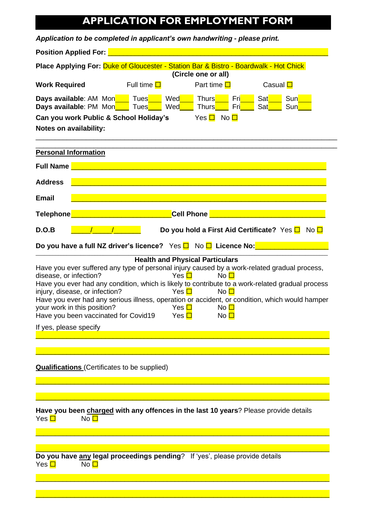## **APPLICATION FOR EMPLOYMENT FORM**

| Application to be completed in applicant's own handwriting - please print.                                                                                                                                                                                                                                                                                                                                                                                                                                                                                                                        |                                                                                                                       |                                                       |                                                           |  |  |  |
|---------------------------------------------------------------------------------------------------------------------------------------------------------------------------------------------------------------------------------------------------------------------------------------------------------------------------------------------------------------------------------------------------------------------------------------------------------------------------------------------------------------------------------------------------------------------------------------------------|-----------------------------------------------------------------------------------------------------------------------|-------------------------------------------------------|-----------------------------------------------------------|--|--|--|
| Position Applied For: <u>Denomination and Contract and Contract of Contract of Tennis</u>                                                                                                                                                                                                                                                                                                                                                                                                                                                                                                         |                                                                                                                       |                                                       |                                                           |  |  |  |
| Place Applying For: Duke of Gloucester - Station Bar & Bistro - Boardwalk - Hot Chick<br>(Circle one or all)                                                                                                                                                                                                                                                                                                                                                                                                                                                                                      |                                                                                                                       |                                                       |                                                           |  |  |  |
| <b>Work Required</b>                                                                                                                                                                                                                                                                                                                                                                                                                                                                                                                                                                              | Full time $\Box$                                                                                                      | Part time $\square$                                   | Casual □                                                  |  |  |  |
| <b>Days available:</b> AM Monthly Tues Ned Ned<br>Days available: PM Mon <b>Number</b> Tues                                                                                                                                                                                                                                                                                                                                                                                                                                                                                                       | Wed <u>Na</u>                                                                                                         | Thurs <b>Thur</b><br>Fri<br>Fri<br>Thurs <b>Thurs</b> | Sat Sun<br>Sat<br>Sun                                     |  |  |  |
| Can you work Public & School Holiday's<br>Yes $\Box$ No $\Box$<br><b>Notes on availability:</b>                                                                                                                                                                                                                                                                                                                                                                                                                                                                                                   |                                                                                                                       |                                                       |                                                           |  |  |  |
| <b>Personal Information</b>                                                                                                                                                                                                                                                                                                                                                                                                                                                                                                                                                                       |                                                                                                                       |                                                       |                                                           |  |  |  |
| <b>Full Name</b>                                                                                                                                                                                                                                                                                                                                                                                                                                                                                                                                                                                  |                                                                                                                       |                                                       |                                                           |  |  |  |
| <b>Address</b>                                                                                                                                                                                                                                                                                                                                                                                                                                                                                                                                                                                    | <u> 1989 - Johann Stoff, deutscher Stoffen und der Stoffen und der Stoffen und der Stoffen und der Stoffen und de</u> |                                                       |                                                           |  |  |  |
| <b>Email</b>                                                                                                                                                                                                                                                                                                                                                                                                                                                                                                                                                                                      | <u> 1989 - Johann Stoff, amerikan bestemanns foar it ferskearre fan de ferskearre fan de ferskearre fan de ferske</u> |                                                       |                                                           |  |  |  |
| <b>Telephone</b>                                                                                                                                                                                                                                                                                                                                                                                                                                                                                                                                                                                  | <b>Cell Phone</b>                                                                                                     |                                                       |                                                           |  |  |  |
| D.O.B                                                                                                                                                                                                                                                                                                                                                                                                                                                                                                                                                                                             |                                                                                                                       |                                                       | Do you hold a First Aid Certificate? Yes $\Box$ No $\Box$ |  |  |  |
| Do you have a full NZ driver's licence? Yes □ No □ Licence No: ___________                                                                                                                                                                                                                                                                                                                                                                                                                                                                                                                        |                                                                                                                       |                                                       |                                                           |  |  |  |
| <b>Health and Physical Particulars</b><br>Have you ever suffered any type of personal injury caused by a work-related gradual process,<br>disease, or infection?<br>Yes $\Box$<br>No $\Box$<br>Have you ever had any condition, which is likely to contribute to a work-related gradual process<br>injury, disease, or infection?<br>Yes $\Box$<br>No $\square$<br>Have you ever had any serious illness, operation or accident, or condition, which would hamper<br>your work in this position?<br>Yes $\Box$<br>No $\square$<br>Have you been vaccinated for Covid19 Yes $\Box$<br>No $\square$ |                                                                                                                       |                                                       |                                                           |  |  |  |
| If yes, please specify                                                                                                                                                                                                                                                                                                                                                                                                                                                                                                                                                                            |                                                                                                                       |                                                       |                                                           |  |  |  |
|                                                                                                                                                                                                                                                                                                                                                                                                                                                                                                                                                                                                   |                                                                                                                       |                                                       |                                                           |  |  |  |
| <b>Qualifications</b> (Certificates to be supplied)                                                                                                                                                                                                                                                                                                                                                                                                                                                                                                                                               |                                                                                                                       |                                                       |                                                           |  |  |  |
| Have you been charged with any offences in the last 10 years? Please provide details<br>Yes $\Box$<br>No $\Box$                                                                                                                                                                                                                                                                                                                                                                                                                                                                                   |                                                                                                                       |                                                       |                                                           |  |  |  |
|                                                                                                                                                                                                                                                                                                                                                                                                                                                                                                                                                                                                   |                                                                                                                       |                                                       |                                                           |  |  |  |
| Do you have any legal proceedings pending? If 'yes', please provide details<br>Yes <mark>□</mark><br>No $\Box$                                                                                                                                                                                                                                                                                                                                                                                                                                                                                    |                                                                                                                       |                                                       |                                                           |  |  |  |
|                                                                                                                                                                                                                                                                                                                                                                                                                                                                                                                                                                                                   |                                                                                                                       |                                                       |                                                           |  |  |  |
|                                                                                                                                                                                                                                                                                                                                                                                                                                                                                                                                                                                                   |                                                                                                                       |                                                       |                                                           |  |  |  |